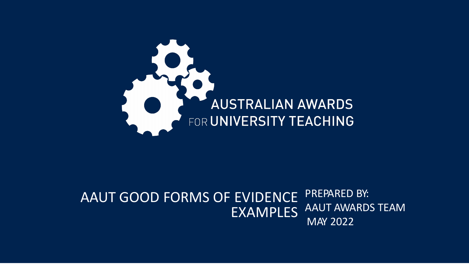

#### AAUT GOOD FORMS OF EVIDENCE EXAMPLES PREPARED BY: AAUT AWARDS TEAM MAY 2022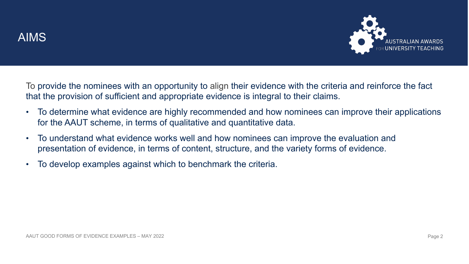

To provide the nominees with an opportunity to align their evidence with the criteria and reinforce the fact that the provision of sufficient and appropriate evidence is integral to their claims.

- To determine what evidence are highly recommended and how nominees can improve their applications for the AAUT scheme, in terms of qualitative and quantitative data.
- To understand what evidence works well and how nominees can improve the evaluation and presentation of evidence, in terms of content, structure, and the variety forms of evidence.
- To develop examples against which to benchmark the criteria.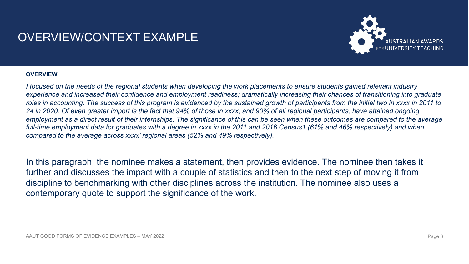# OVERVIEW/CONTEXT EXAMPLE



#### **OVERVIEW**

*I focused on the needs of the regional students when developing the work placements to ensure students gained relevant industry experience and increased their confidence and employment readiness; dramatically increasing their chances of transitioning into graduate roles in accounting. The success of this program is evidenced by the sustained growth of participants from the initial two in xxxx in 2011 to 24 in 2020. Of even greater import is the fact that 94% of those in xxxx, and 90% of all regional participants, have attained ongoing employment as a direct result of their internships. The significance of this can be seen when these outcomes are compared to the average full-time employment data for graduates with a degree in xxxx in the 2011 and 2016 Census1 (61% and 46% respectively) and when compared to the average across xxxx' regional areas (52% and 49% respectively).*

In this paragraph, the nominee makes a statement, then provides evidence. The nominee then takes it further and discusses the impact with a couple of statistics and then to the next step of moving it from discipline to benchmarking with other disciplines across the institution. The nominee also uses a contemporary quote to support the significance of the work.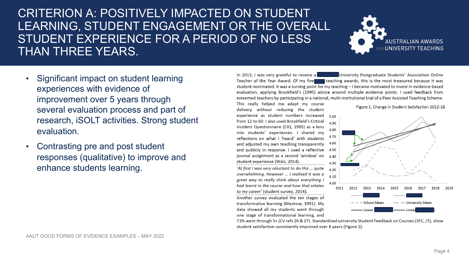## CRITERION A: POSITIVELY IMPACTED ON STUDENT LEARNING, STUDENT ENGAGEMENT OR THE OVERALL STUDENT EXPERIENCE FOR A PERIOD OF NO LESS THAN THREE YEARS.



- Significant impact on student learning experiences with evidence of improvement over 5 years through several evaluation process and part of research, iSOLT activities. Strong student evaluation.
- Contrasting pre and post student responses (qualitative) to improve and enhance students learning.

University Postgraduate Students' Association Online In 2013. I was very grateful to receive a Teacher of the Year Award. Of my fivel teaching awards, this is the most treasured because it was student-nominated. It was a turning point for my teaching - I became motivated to invest in evidence-based evaluation, applying Brookfield's (1995) advice around multiple evidence points. I used feedback from esteemed teachers by participating in a national, multi-institutional trial of a Peer Assisted Teaching Scheme.

This really helped me adapt my course delivery without reducing the student experience as student numbers increased from 12 to 60. I also used Brookfield's Critical Incident Questionnaire (CIQ, 1995) as a lens into students' experiences. I shared my reflections on what I 'heard' with students and adjusted my own teaching transparently and publicly in response. I used a reflective journal assignment as a second 'window' on student experience (Wals, 2014).

'At first I was very reluctant to do this ... quite overwhelming. However ... I realised it was a great way to really think about everything I had learnt in the course and how that relates to my career' (student survey, 2014).

Another survey evaluated the ten stages of transformative learning (Mezirow, 1991). My data showed all my students went through one stage of transformational learning, and





73% went through 5+ (CV refs 26 & 27). Standardised university Student Feedback on Courses (SFC, /5), show student satisfaction consistently improved over 8 years (Figure 1).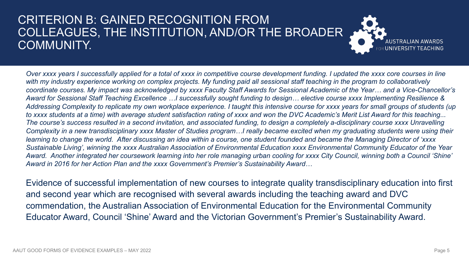### CRITERION B: GAINED RECOGNITION FROM COLLEAGUES, THE INSTITUTION, AND/OR THE BROADER COMMUNITY.



*Over xxxx years I successfully applied for a total of xxxx in competitive course development funding. I updated the xxxx core courses in line with my industry experience working on complex projects. My funding paid all sessional staff teaching in the program to collaboratively coordinate courses. My impact was acknowledged by xxxx Faculty Staff Awards for Sessional Academic of the Year… and a Vice-Chancellor's Award for Sessional Staff Teaching Excellence …I successfully sought funding to design… elective course xxxx Implementing Resilience & Addressing Complexity to replicate my own workplace experience. I taught this intensive course for xxxx years for small groups of students (up to xxxx students at a time) with average student satisfaction rating of xxxx and won the DVC Academic's Merit List Award for this teaching... The course's success resulted in a second invitation, and associated funding, to design a completely a-disciplinary course xxxx Unravelling Complexity in a new transdisciplinary xxxx Master of Studies program…I really became excited when my graduating students were using their learning to change the world. After discussing an idea within a course, one student founded and became the Managing Director of 'xxxx Sustainable Living', winning the xxxx Australian Association of Environmental Education xxxx Environmental Community Educator of the Year Award. Another integrated her coursework learning into her role managing urban cooling for xxxx City Council, winning both a Council 'Shine' Award in 2016 for her Action Plan and the xxxx Government's Premier's Sustainability Award…*

Evidence of successful implementation of new courses to integrate quality transdisciplinary education into first and second year which are recognised with several awards including the teaching award and DVC commendation, the Australian Association of Environmental Education for the Environmental Community Educator Award, Council 'Shine' Award and the Victorian Government's Premier's Sustainability Award.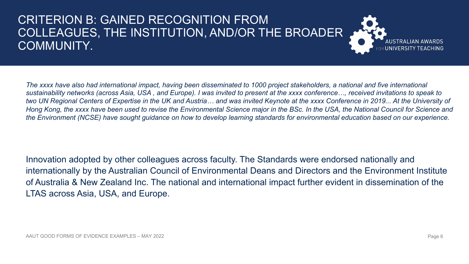# CRITERION B: GAINED RECOGNITION FROM COLLEAGUES, THE INSTITUTION, AND/OR THE BROADER COMMUNITY.



*The xxxx have also had international impact, having been disseminated to 1000 project stakeholders, a national and five international sustainability networks (across Asia, USA , and Europe). I was invited to present at the xxxx conference…, received invitations to speak to two UN Regional Centers of Expertise in the UK and Austria… and was invited Keynote at the xxxx Conference in 2019... At the University of Hong Kong, the xxxx have been used to revise the Environmental Science major in the BSc. In the USA, the National Council for Science and the Environment (NCSE) have sought guidance on how to develop learning standards for environmental education based on our experience.*

Innovation adopted by other colleagues across faculty. The Standards were endorsed nationally and internationally by the Australian Council of Environmental Deans and Directors and the Environment Institute of Australia & New Zealand Inc. The national and international impact further evident in dissemination of the LTAS across Asia, USA, and Europe.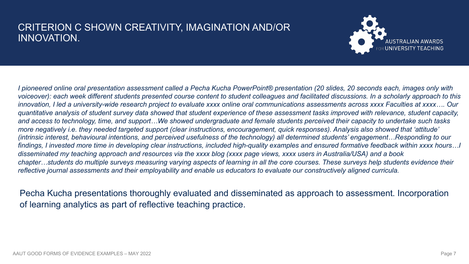#### CRITERION C SHOWN CREATIVITY, IMAGINATION AND/OR INNOVATION.



*I pioneered online oral presentation assessment called a Pecha Kucha PowerPoint® presentation (20 slides, 20 seconds each, images only with voiceover): each week different students presented course content to student colleagues and facilitated discussions. In a scholarly approach to this innovation, I led a university-wide research project to evaluate xxxx online oral communications assessments across xxxx Faculties at xxxx…. Our quantitative analysis of student survey data showed that student experience of these assessment tasks improved with relevance, student capacity,*  and access to technology, time, and support...We showed undergraduate and female students perceived their capacity to undertake such tasks *more negatively i.e. they needed targeted support (clear instructions, encouragement, quick responses). Analysis also showed that 'attitude' (intrinsic interest, behavioural intentions, and perceived usefulness of the technology) all determined students' engagement…Responding to our findings, I invested more time in developing clear instructions, included high-quality examples and ensured formative feedback within xxxx hours…I disseminated my teaching approach and resources via the xxxx blog (xxxx page views, xxxx users in Australia/USA) and a book chapter…students do multiple surveys measuring varying aspects of learning in all the core courses. These surveys help students evidence their reflective journal assessments and their employability and enable us educators to evaluate our constructively aligned curricula.*

Pecha Kucha presentations thoroughly evaluated and disseminated as approach to assessment. Incorporation of learning analytics as part of reflective teaching practice.